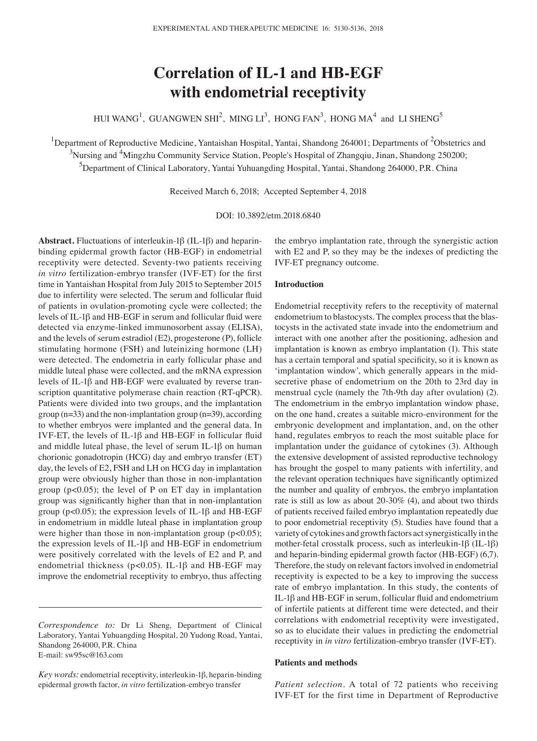# **Correlation of IL-1 and HB-EGF with endometrial receptivity**

HUI WANG<sup>1</sup>, GUANGWEN SHI<sup>2</sup>, MING LI<sup>3</sup>, HONG FAN<sup>3</sup>, HONG MA<sup>4</sup> and LI SHENG<sup>5</sup>

<sup>1</sup>Department of Reproductive Medicine, Yantaishan Hospital, Yantai, Shandong 264001; Departments of <sup>2</sup>Obstetrics and <sup>3</sup>Nursing and <sup>4</sup>Mingzhu Community Service Station, People's Hospital of Zhangqiu, Jinan, Shandong 250200; 5 Department of Clinical Laboratory, Yantai Yuhuangding Hospital, Yantai, Shandong 264000, P.R. China

Received March 6, 2018; Accepted September 4, 2018

DOI: 10.3892/etm.2018.6840

**Abstract.** Fluctuations of interleukin-1β (IL-1β) and heparinbinding epidermal growth factor (HB-EGF) in endometrial receptivity were detected. Seventy-two patients receiving *in vitro* fertilization-embryo transfer (IVF-ET) for the first time in Yantaishan Hospital from July 2015 to September 2015 due to infertility were selected. The serum and follicular fluid of patients in ovulation-promoting cycle were collected; the levels of IL-1β and HB-EGF in serum and follicular fluid were detected via enzyme-linked immunosorbent assay (ELISA), and the levels of serum estradiol (E2), progesterone (P), follicle stimulating hormone (FSH) and luteinizing hormone (LH) were detected. The endometria in early follicular phase and middle luteal phase were collected, and the mRNA expression levels of IL-1β and HB-EGF were evaluated by reverse transcription quantitative polymerase chain reaction (RT-qPCR). Patients were divided into two groups, and the implantation group ( $n=33$ ) and the non-implantation group ( $n=39$ ), according to whether embryos were implanted and the general data. In IVF-ET, the levels of IL-1β and HB-EGF in follicular fluid and middle luteal phase, the level of serum IL-1β on human chorionic gonadotropin (HCG) day and embryo transfer (ET) day, the levels of E2, FSH and LH on HCG day in implantation group were obviously higher than those in non-implantation group (p<0.05); the level of P on ET day in implantation group was significantly higher than that in non-implantation group ( $p<0.05$ ); the expression levels of IL-1 $\beta$  and HB-EGF in endometrium in middle luteal phase in implantation group were higher than those in non-implantation group (p<0.05); the expression levels of IL-1β and HB-EGF in endometrium were positively correlated with the levels of E2 and P, and endometrial thickness ( $p$ <0.05). IL-1 $\beta$  and HB-EGF may improve the endometrial receptivity to embryo, thus affecting

*Correspondence to:* Dr Li Sheng, Department of Clinical Laboratory, Yantai Yuhuangding Hospital, 20 Yudong Road, Yantai, Shandong 264000, P.R. China E-mail: sw95sc@163.com

the embryo implantation rate, through the synergistic action with E2 and P, so they may be the indexes of predicting the IVF-ET pregnancy outcome.

## **Introduction**

Endometrial receptivity refers to the receptivity of maternal endometrium to blastocysts. The complex process that the blastocysts in the activated state invade into the endometrium and interact with one another after the positioning, adhesion and implantation is known as embryo implantation (1). This state has a certain temporal and spatial specificity, so it is known as 'implantation window', which generally appears in the midsecretive phase of endometrium on the 20th to 23rd day in menstrual cycle (namely the 7th-9th day after ovulation) (2). The endometrium in the embryo implantation window phase, on the one hand, creates a suitable micro-environment for the embryonic development and implantation, and, on the other hand, regulates embryos to reach the most suitable place for implantation under the guidance of cytokines (3). Although the extensive development of assisted reproductive technology has brought the gospel to many patients with infertility, and the relevant operation techniques have significantly optimized the number and quality of embryos, the embryo implantation rate is still as low as about 20-30% (4), and about two thirds of patients received failed embryo implantation repeatedly due to poor endometrial receptivity (5). Studies have found that a variety of cytokines and growth factors act synergistically in the mother-fetal crosstalk process, such as interleukin-1β (IL-1β) and heparin-binding epidermal growth factor (HB-EGF) (6,7). Therefore, the study on relevant factors involved in endometrial receptivity is expected to be a key to improving the success rate of embryo implantation. In this study, the contents of IL-1β and HB-EGF in serum, follicular fluid and endometrium of infertile patients at different time were detected, and their correlations with endometrial receptivity were investigated, so as to elucidate their values in predicting the endometrial receptivity in *in vitro* fertilization-embryo transfer (IVF-ET).

## **Patients and methods**

*Patient selection.* A total of 72 patients who receiving IVF-ET for the first time in Department of Reproductive

*Key words:* endometrial receptivity, interleukin-1β, heparin-binding epidermal growth factor, *in vitro* fertilization-embryo transfer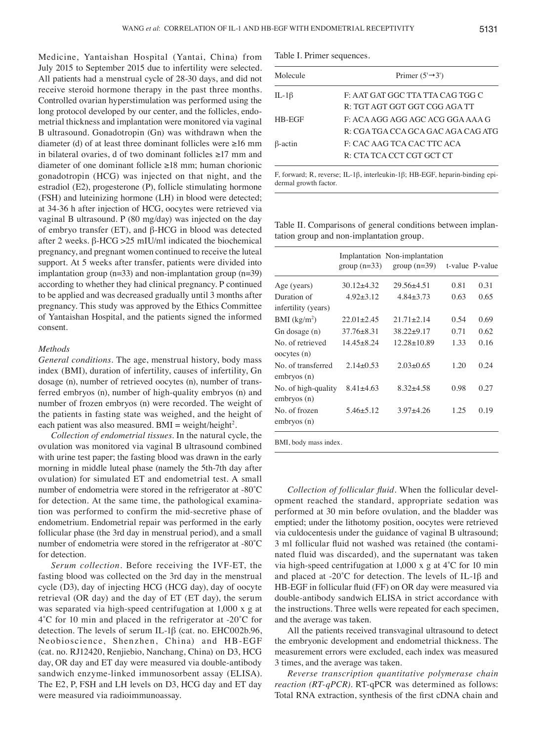Medicine, Yantaishan Hospital (Yantai, China) from July 2015 to September 2015 due to infertility were selected. All patients had a menstrual cycle of 28-30 days, and did not receive steroid hormone therapy in the past three months. Controlled ovarian hyperstimulation was performed using the long protocol developed by our center, and the follicles, endometrial thickness and implantation were monitored via vaginal B ultrasound. Gonadotropin (Gn) was withdrawn when the diameter (d) of at least three dominant follicles were ≥16 mm in bilateral ovaries, d of two dominant follicles ≥17 mm and diameter of one dominant follicle ≥18 mm; human chorionic gonadotropin (HCG) was injected on that night, and the estradiol (E2), progesterone (P), follicle stimulating hormone (FSH) and luteinizing hormone (LH) in blood were detected; at 34-36 h after injection of HCG, oocytes were retrieved via vaginal B ultrasound. P (80 mg/day) was injected on the day of embryo transfer (ET), and β-HCG in blood was detected after 2 weeks. β-HCG >25 mIU/ml indicated the biochemical pregnancy, and pregnant women continued to receive the luteal support. At 5 weeks after transfer, patients were divided into implantation group ( $n=33$ ) and non-implantation group ( $n=39$ ) according to whether they had clinical pregnancy. P continued to be applied and was decreased gradually until 3 months after pregnancy. This study was approved by the Ethics Committee of Yantaishan Hospital, and the patients signed the informed consent.

### *Methods*

*General conditions.* The age, menstrual history, body mass index (BMI), duration of infertility, causes of infertility, Gn dosage (n), number of retrieved oocytes (n), number of transferred embryos (n), number of high-quality embryos (n) and number of frozen embryos (n) were recorded. The weight of the patients in fasting state was weighed, and the height of each patient was also measured. BMI = weight/height<sup>2</sup>.

*Collection of endometrial tissues.* In the natural cycle, the ovulation was monitored via vaginal B ultrasound combined with urine test paper; the fasting blood was drawn in the early morning in middle luteal phase (namely the 5th-7th day after ovulation) for simulated ET and endometrial test. A small number of endometria were stored in the refrigerator at -80˚C for detection. At the same time, the pathological examination was performed to confirm the mid-secretive phase of endometrium. Endometrial repair was performed in the early follicular phase (the 3rd day in menstrual period), and a small number of endometria were stored in the refrigerator at -80˚C for detection.

*Serum collection.* Before receiving the IVF-ET, the fasting blood was collected on the 3rd day in the menstrual cycle (D3), day of injecting HCG (HCG day), day of oocyte retrieval (OR day) and the day of ET (ET day), the serum was separated via high-speed centrifugation at 1,000 x g at 4˚C for 10 min and placed in the refrigerator at -20˚C for detection. The levels of serum IL-1β (cat. no. EHC002b.96, Neobioscience, Shenzhen, China) and HB-EGF (cat. no. RJ12420, Renjiebio, Nanchang, China) on D3, HCG day, OR day and ET day were measured via double-antibody sandwich enzyme-linked immunosorbent assay (ELISA). The E2, P, FSH and LH levels on D3, HCG day and ET day were measured via radioimmunoassay.

Table I. Primer sequences.

| Molecule     | Primer $(5' \rightarrow 3')$       |
|--------------|------------------------------------|
| IL-1 $\beta$ | F: AAT GAT GGC TTA TTA CAG TGG C   |
|              | R: TGT AGT GGT GGT CGG AGA TT      |
| HB-EGF       | F: ACA AGG AGG AGC ACG GGA AAA G   |
|              | R: CGA TGA CCA GCA GAC AGA CAG ATG |
| B-actin      | F: CAC AAG TCA CAC TTC ACA         |
|              | R: CTA TCA CCT CGT GCT CT          |

F, forward; R, reverse; IL-1β, interleukin-1β; HB-EGF, heparin-binding epidermal growth factor.

Table II. Comparisons of general conditions between implantation group and non-implantation group.

|                                    | group $(n=33)$ | Implantation Non-implantation<br>$group(n=39)$ |      | t-value P-value |
|------------------------------------|----------------|------------------------------------------------|------|-----------------|
| Age (years)                        | $30.12 + 4.32$ | 29.56+4.51                                     | 0.81 | 0.31            |
| Duration of                        | $4.92 + 3.12$  | $4.84 + 3.73$                                  | 0.63 | 0.65            |
| infertility (years)                |                |                                                |      |                 |
| BMI (kg/m <sup>2</sup> )           | $22.01 + 2.45$ | $21.71 + 2.14$                                 | 0.54 | 0.69            |
| Gn dosage (n)                      | $37.76 + 8.31$ | $38.22 + 9.17$                                 | 0.71 | 0.62            |
| No. of retrieved<br>oocytes (n)    | $14.45 + 8.24$ | $12.28 \pm 10.89$                              | 1.33 | 0.16            |
| No. of transferred<br>embryos (n)  | $2.14 + 0.53$  | $2.03+0.65$                                    | 1.20 | 0.24            |
| No. of high-quality<br>embryos (n) | $8.41 + 4.63$  | $8.32 + 4.58$                                  | 0.98 | 0.27            |
| No. of frozen<br>embryos (n)       | $5.46 + 5.12$  | $3.97 + 4.26$                                  | 1.25 | 0.19            |
|                                    |                |                                                |      |                 |

BMI, body mass index.

*Collection of follicular fluid.* When the follicular development reached the standard, appropriate sedation was performed at 30 min before ovulation, and the bladder was emptied; under the lithotomy position, oocytes were retrieved via culdocentesis under the guidance of vaginal B ultrasound; 3 ml follicular fluid not washed was retained (the contaminated fluid was discarded), and the supernatant was taken via high-speed centrifugation at 1,000 x g at 4˚C for 10 min and placed at -20˚C for detection. The levels of IL-1β and HB-EGF in follicular fluid (FF) on OR day were measured via double-antibody sandwich ELISA in strict accordance with the instructions. Three wells were repeated for each specimen, and the average was taken.

All the patients received transvaginal ultrasound to detect the embryonic development and endometrial thickness. The measurement errors were excluded, each index was measured 3 times, and the average was taken.

*Reverse transcription quantitative polymerase chain reaction (RT-qPCR).* RT-qPCR was determined as follows: Total RNA extraction, synthesis of the first cDNA chain and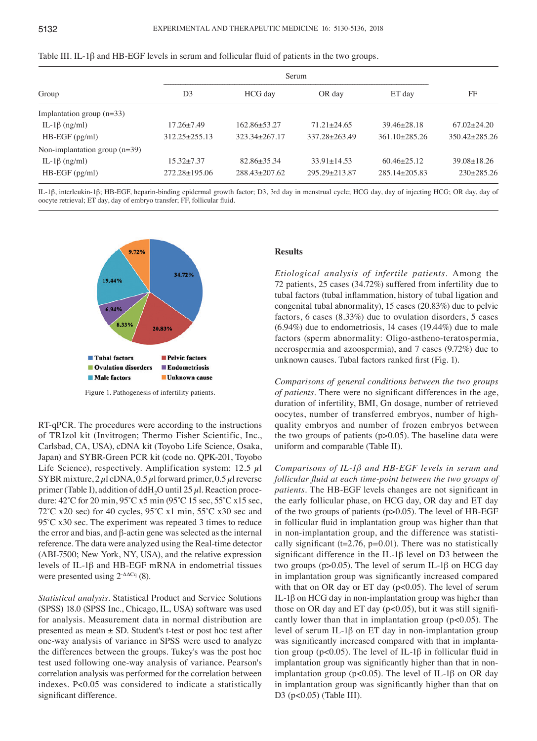|                                 |                     | Serum             |                     |                   |                     |  |
|---------------------------------|---------------------|-------------------|---------------------|-------------------|---------------------|--|
| Group                           | D <sub>3</sub>      | HCG day           | OR day              | ET day            | FF                  |  |
| Implantation group $(n=33)$     |                     |                   |                     |                   |                     |  |
| IL-1 $\beta$ (ng/ml)            | $17.26 \pm 7.49$    | $162.86 + 53.27$  | $71.21 \pm 24.65$   | $39.46 \pm 28.18$ | $67.02 + 24.20$     |  |
| $HB\text{-}EGF$ (pg/ml)         | $312.25 + 255.13$   | $323.34 + 267.17$ | $337.28 \pm 263.49$ | $361.10+285.26$   | $350.42 \pm 285.26$ |  |
| Non-implantation group $(n=39)$ |                     |                   |                     |                   |                     |  |
| IL-1 $\beta$ (ng/ml)            | $15.32 + 7.37$      | $82.86 \pm 35.34$ | $33.91 \pm 14.53$   | $60.46 \pm 25.12$ | $39.08 \pm 18.26$   |  |
| $HB\text{-}EGF$ (pg/ml)         | $272.28 \pm 195.06$ | $288.43 + 207.62$ | $295.29 + 213.87$   | $285.14 + 205.83$ | $230+285.26$        |  |

| Table III. IL-1 $\beta$ and HB-EGF levels in serum and follicular fluid of patients in the two groups. |  |  |
|--------------------------------------------------------------------------------------------------------|--|--|
|--------------------------------------------------------------------------------------------------------|--|--|

IL-1β, interleukin-1β; HB-EGF, heparin-binding epidermal growth factor; D3, 3rd day in menstrual cycle; HCG day, day of injecting HCG; OR day, day of oocyte retrieval; ET day, day of embryo transfer; FF, follicular fluid.



Figure 1. Pathogenesis of infertility patients.

RT-qPCR. The procedures were according to the instructions of TRIzol kit (Invitrogen; Thermo Fisher Scientific, Inc., Carlsbad, CA, USA), cDNA kit (Toyobo Life Science, Osaka, Japan) and SYBR-Green PCR kit (code no. QPK-201, Toyobo Life Science), respectively. Amplification system: 12.5  $\mu$ l SYBR mixture,  $2 \mu$ l cDNA, 0.5  $\mu$ l forward primer, 0.5  $\mu$ l reverse primer (Table I), addition of ddH<sub>2</sub>O until 25  $\mu$ l. Reaction procedure: 42˚C for 20 min, 95˚C x5 min (95˚C 15 sec, 55˚C x15 sec, 72°C x20 sec) for 40 cycles, 95°C x1 min, 55°C x30 sec and 95°C x30 sec. The experiment was repeated 3 times to reduce the error and bias, and β-actin gene was selected as the internal reference. The data were analyzed using the Real-time detector (ABI-7500; New York, NY, USA), and the relative expression levels of IL-1β and HB-EGF mRNA in endometrial tissues were presented using  $2^{\Delta\Delta Cq}$  (8).

*Statistical analysis.* Statistical Product and Service Solutions (SPSS) 18.0 (SPSS Inc., Chicago, IL, USA) software was used for analysis. Measurement data in normal distribution are presented as mean ± SD. Student's t-test or post hoc test after one-way analysis of variance in SPSS were used to analyze the differences between the groups. Tukey's was the post hoc test used following one-way analysis of variance. Pearson's correlation analysis was performed for the correlation between indexes. P<0.05 was considered to indicate a statistically significant difference.

### **Results**

*Etiological analysis of infertile patients.* Among the 72 patients, 25 cases (34.72%) suffered from infertility due to tubal factors (tubal inflammation, history of tubal ligation and congenital tubal abnormality), 15 cases (20.83%) due to pelvic factors, 6 cases (8.33%) due to ovulation disorders, 5 cases (6.94%) due to endometriosis, 14 cases (19.44%) due to male factors (sperm abnormality: Oligo-astheno-teratospermia, necrospermia and azoospermia), and 7 cases (9.72%) due to unknown causes. Tubal factors ranked first (Fig. 1).

*Comparisons of general conditions between the two groups of patients.* There were no significant differences in the age, duration of infertility, BMI, Gn dosage, number of retrieved oocytes, number of transferred embryos, number of highquality embryos and number of frozen embryos between the two groups of patients  $(p>0.05)$ . The baseline data were uniform and comparable (Table II).

*Comparisons of IL-1β and HB-EGF levels in serum and follicular fluid at each time-point between the two groups of patients.* The HB-EGF levels changes are not significant in the early follicular phase, on HCG day, OR day and ET day of the two groups of patients (p>0.05). The level of HB-EGF in follicular fluid in implantation group was higher than that in non-implantation group, and the difference was statistically significant ( $t=2.76$ ,  $p=0.01$ ). There was no statistically significant difference in the IL-1β level on D3 between the two groups (p>0.05). The level of serum IL-1β on HCG day in implantation group was significantly increased compared with that on OR day or ET day ( $p<0.05$ ). The level of serum IL-1β on HCG day in non-implantation group was higher than those on OR day and ET day  $(p<0.05)$ , but it was still significantly lower than that in implantation group  $(p<0.05)$ . The level of serum IL-1β on ET day in non-implantation group was significantly increased compared with that in implantation group ( $p<0.05$ ). The level of IL-1 $\beta$  in follicular fluid in implantation group was significantly higher than that in nonimplantation group ( $p$ <0.05). The level of IL-1 $\beta$  on OR day in implantation group was significantly higher than that on D3 (p<0.05) (Table III).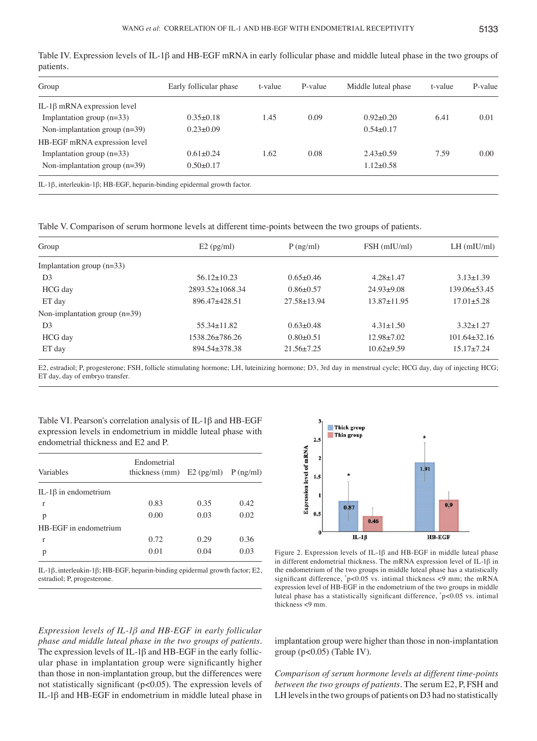| Group                              | Early follicular phase | t-value | P-value | Middle luteal phase | t-value | P-value |
|------------------------------------|------------------------|---------|---------|---------------------|---------|---------|
| IL-1 $\beta$ mRNA expression level |                        |         |         |                     |         |         |
| Implantation group $(n=33)$        | $0.35 \pm 0.18$        | 1.45    | 0.09    | $0.92+0.20$         | 6.41    | 0.01    |
| Non-implantation group $(n=39)$    | $0.23 \pm 0.09$        |         |         | $0.54 \pm 0.17$     |         |         |
| HB-EGF mRNA expression level       |                        |         |         |                     |         |         |
| Implantation group $(n=33)$        | $0.61 \pm 0.24$        | 1.62    | 0.08    | $2.43+0.59$         | 7.59    | 0.00    |
| Non-implantation group $(n=39)$    | $0.50+0.17$            |         |         | $1.12 \pm 0.58$     |         |         |

Table IV. Expression levels of IL-1β and HB-EGF mRNA in early follicular phase and middle luteal phase in the two groups of patients.

Table V. Comparison of serum hormone levels at different time-points between the two groups of patients.

| Group                           | $E2$ (pg/ml)          | $P$ (ng/ml)       | FSH (mIU/ml)      | $LH$ (mIU/ml)      |
|---------------------------------|-----------------------|-------------------|-------------------|--------------------|
| Implantation group $(n=33)$     |                       |                   |                   |                    |
| D <sub>3</sub>                  | $56.12 \pm 10.23$     | $0.65+0.46$       | $4.28 + 1.47$     | $3.13 \pm 1.39$    |
| HCG day                         | $2893.52 \pm 1068.34$ | $0.86 + 0.57$     | $24.93+9.08$      | $139.06 + 53.45$   |
| ET day                          | $896.47 + 428.51$     | $27.58 \pm 13.94$ | $13.87 \pm 11.95$ | $17.01 + 5.28$     |
| Non-implantation group $(n=39)$ |                       |                   |                   |                    |
| D <sub>3</sub>                  | $55.34 \pm 11.82$     | $0.63 + 0.48$     | $4.31 \pm 1.50$   | $3.32 + 1.27$      |
| HCG day                         | $1538.26 \pm 786.26$  | $0.80 + 0.51$     | $12.98 \pm 7.02$  | $101.64 \pm 32.16$ |
| ET day                          | $894.54 \pm 378.38$   | $21.56 \pm 7.25$  | $10.62+9.59$      | $15.17 \pm 7.24$   |

E2, estradiol; P, progesterone; FSH, follicle stimulating hormone; LH, luteinizing hormone; D3, 3rd day in menstrual cycle; HCG day, day of injecting HCG; ET day, day of embryo transfer.

Table VI. Pearson's correlation analysis of IL-1β and HB-EGF expression levels in endometrium in middle luteal phase with endometrial thickness and E2 and P.

| Variables                   | Endometrial<br>thickness (mm) $E2$ (pg/ml) $P$ (ng/ml) |      |      |
|-----------------------------|--------------------------------------------------------|------|------|
| IL-1 $\beta$ in endometrium |                                                        |      |      |
| r                           | 0.83                                                   | 0.35 | 0.42 |
| p                           | 0.00                                                   | 0.03 | 0.02 |
| HB-EGF in endometrium       |                                                        |      |      |
| r                           | 0.72                                                   | 0.29 | 0.36 |
| р                           | 0.01                                                   | 0.04 | 0.03 |
|                             |                                                        |      |      |

IL-1β, interleukin-1β; HB-EGF, heparin-binding epidermal growth factor; E2, estradiol; P, progesterone.



Figure 2. Expression levels of IL-1β and HB-EGF in middle luteal phase in different endometrial thickness. The mRNA expression level of IL-1 $\beta$  in the endometrium of the two groups in middle luteal phase has a statistically significant difference, \* p<0.05 vs. intimal thickness <9 mm; the mRNA expression level of HB-EGF in the endometrium of the two groups in middle luteal phase has a statistically significant difference, \* p<0.05 vs. intimal thickness <9 mm.

*Expression levels of IL-1β and HB-EGF in early follicular phase and middle luteal phase in the two groups of patients.*  The expression levels of IL-1β and HB-EGF in the early follicular phase in implantation group were significantly higher than those in non-implantation group, but the differences were not statistically significant (p<0.05). The expression levels of IL-1β and HB-EGF in endometrium in middle luteal phase in

implantation group were higher than those in non-implantation group  $(p<0.05)$  (Table IV).

*Comparison of serum hormone levels at different time-points between the two groups of patients.* The serum E2, P, FSH and LH levels in the two groups of patients on D3 had no statistically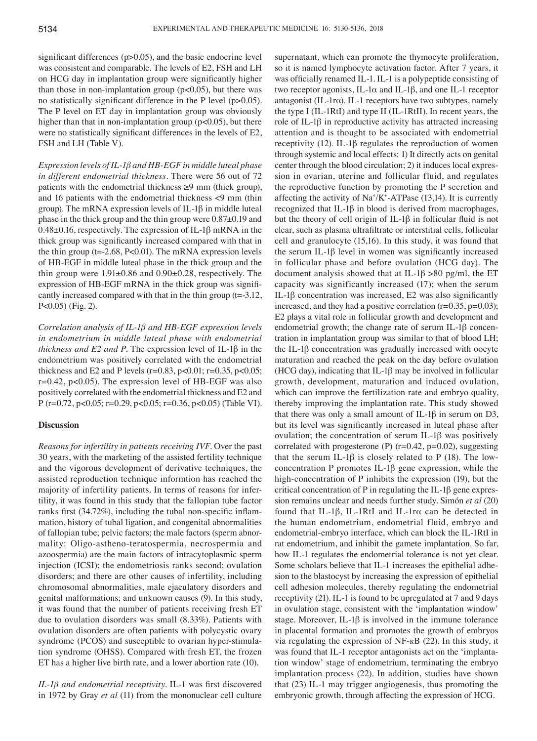significant differences (p>0.05), and the basic endocrine level was consistent and comparable. The levels of E2, FSH and LH on HCG day in implantation group were significantly higher than those in non-implantation group  $(p<0.05)$ , but there was no statistically significant difference in the P level (p>0.05). The P level on ET day in implantation group was obviously higher than that in non-implantation group  $(p<0.05)$ , but there were no statistically significant differences in the levels of E2, FSH and LH (Table V).

*Expression levels of IL-1β and HB-EGF in middle luteal phase in different endometrial thickness.* There were 56 out of 72 patients with the endometrial thickness  $\geq 9$  mm (thick group), and 16 patients with the endometrial thickness <9 mm (thin group). The mRNA expression levels of IL-1β in middle luteal phase in the thick group and the thin group were 0.87±0.19 and 0.48±0.16, respectively. The expression of IL-1β mRNA in the thick group was significantly increased compared with that in the thin group  $(t=2.68, P<0.01)$ . The mRNA expression levels of HB-EGF in middle luteal phase in the thick group and the thin group were 1.91±0.86 and 0.90±0.28, respectively. The expression of HB-EGF mRNA in the thick group was significantly increased compared with that in the thin group (t=-3.12, P<0.05) (Fig. 2).

*Correlation analysis of IL-1β and HB-EGF expression levels in endometrium in middle luteal phase with endometrial thickness and E2 and P.* The expression level of IL-1β in the endometrium was positively correlated with the endometrial thickness and E2 and P levels (r=0.83, p<0.01; r=0.35, p<0.05;  $r=0.42$ ,  $p<0.05$ ). The expression level of HB-EGF was also positively correlated with the endometrial thickness and E2 and P (r=0.72, p<0.05; r=0.29, p<0.05; r=0.36, p<0.05) (Table VI).

## **Discussion**

*Reasons for infertility in patients receiving IVF.* Over the past 30 years, with the marketing of the assisted fertility technique and the vigorous development of derivative techniques, the assisted reproduction technique informtion has reached the majority of infertility patients. In terms of reasons for infertility, it was found in this study that the fallopian tube factor ranks first (34.72%), including the tubal non-specific inflammation, history of tubal ligation, and congenital abnormalities of fallopian tube; pelvic factors; the male factors (sperm abnormality: Oligo-astheno-teratospermia, necrospermia and azoospermia) are the main factors of intracytoplasmic sperm injection (ICSI); the endometriosis ranks second; ovulation disorders; and there are other causes of infertility, including chromosomal abnormalities, male ejaculatory disorders and genital malformations; and unknown causes (9). In this study, it was found that the number of patients receiving fresh ET due to ovulation disorders was small (8.33%). Patients with ovulation disorders are often patients with polycystic ovary syndrome (PCOS) and susceptible to ovarian hyper-stimulation syndrome (OHSS). Compared with fresh ET, the frozen ET has a higher live birth rate, and a lower abortion rate (10).

*IL-1β and endometrial receptivity.* IL-1 was first discovered in 1972 by Gray *et al* (11) from the mononuclear cell culture supernatant, which can promote the thymocyte proliferation, so it is named lymphocyte activation factor. After 7 years, it was officially renamed IL-1. IL-1 is a polypeptide consisting of two receptor agonists, IL-1α and IL-1β, and one IL-1 receptor antagonist (IL-1rα). IL-1 receptors have two subtypes, namely the type I (IL-1RtI) and type II (IL-1RtII). In recent years, the role of IL-1β in reproductive activity has attracted increasing attention and is thought to be associated with endometrial receptivity (12). IL-1β regulates the reproduction of women through systemic and local effects: 1) It directly acts on genital center through the blood circulation; 2) it induces local expression in ovarian, uterine and follicular fluid, and regulates the reproductive function by promoting the P secretion and affecting the activity of  $\text{Na}^{\text{+}}/\text{K}^{\text{+}}$ -ATPase (13,14). It is currently recognized that IL-1β in blood is derived from macrophages, but the theory of cell origin of IL-1β in follicular fluid is not clear, such as plasma ultrafiltrate or interstitial cells, follicular cell and granulocyte (15,16). In this study, it was found that the serum IL-1β level in women was significantly increased in follicular phase and before ovulation (HCG day). The document analysis showed that at IL-1 $\beta$  >80 pg/ml, the ET capacity was significantly increased (17); when the serum IL-1β concentration was increased, E2 was also significantly increased, and they had a positive correlation  $(r=0.35, p=0.03)$ ; E2 plays a vital role in follicular growth and development and endometrial growth; the change rate of serum IL-1β concentration in implantation group was similar to that of blood LH; the IL-1β concentration was gradually increased with oocyte maturation and reached the peak on the day before ovulation (HCG day), indicating that IL-1β may be involved in follicular growth, development, maturation and induced ovulation, which can improve the fertilization rate and embryo quality, thereby improving the implantation rate. This study showed that there was only a small amount of IL-1 $\beta$  in serum on D3, but its level was significantly increased in luteal phase after ovulation; the concentration of serum IL-1β was positively correlated with progesterone (P)  $(r=0.42, p=0.02)$ , suggesting that the serum IL-1 $\beta$  is closely related to P (18). The lowconcentration P promotes IL-1β gene expression, while the high-concentration of P inhibits the expression (19), but the critical concentration of P in regulating the IL-1β gene expression remains unclear and needs further study. Simón *et al* (20) found that IL-1β, IL-1RtI and IL-1rα can be detected in the human endometrium, endometrial fluid, embryo and endometrial-embryo interface, which can block the IL-1RtI in rat endometrium, and inhibit the gamete implantation. So far, how IL-1 regulates the endometrial tolerance is not yet clear. Some scholars believe that IL-1 increases the epithelial adhesion to the blastocyst by increasing the expression of epithelial cell adhesion molecules, thereby regulating the endometrial receptivity (21). IL-1 is found to be upregulated at 7 and 9 days in ovulation stage, consistent with the 'implantation window' stage. Moreover, IL-1 $\beta$  is involved in the immune tolerance in placental formation and promotes the growth of embryos via regulating the expression of NF-кB (22). In this study, it was found that IL-1 receptor antagonists act on the 'implantation window' stage of endometrium, terminating the embryo implantation process (22). In addition, studies have shown that (23) IL-1 may trigger angiogenesis, thus promoting the embryonic growth, through affecting the expression of HCG.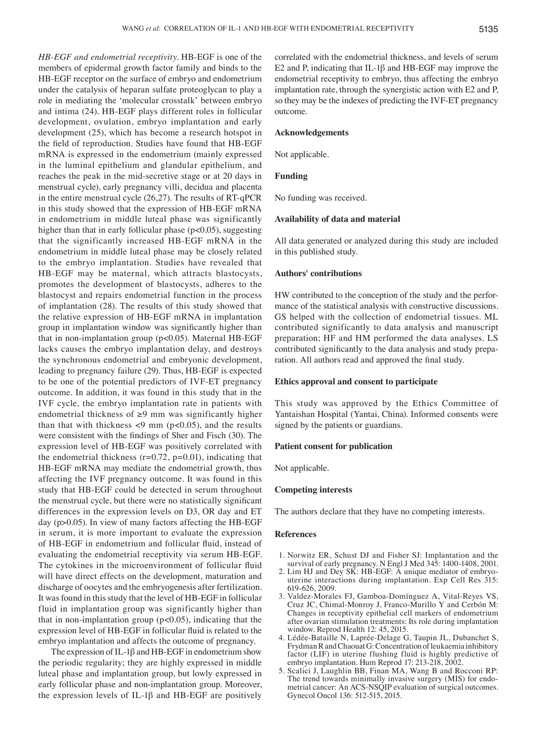*HB-EGF and endometrial receptivity.* HB-EGF is one of the members of epidermal growth factor family and binds to the HB-EGF receptor on the surface of embryo and endometrium under the catalysis of heparan sulfate proteoglycan to play a role in mediating the 'molecular crosstalk' between embryo and intima (24). HB-EGF plays different roles in follicular development, ovulation, embryo implantation and early development (25), which has become a research hotspot in the field of reproduction. Studies have found that HB-EGF mRNA is expressed in the endometrium (mainly expressed in the luminal epithelium and glandular epithelium, and reaches the peak in the mid-secretive stage or at 20 days in menstrual cycle), early pregnancy villi, decidua and placenta in the entire menstrual cycle (26,27). The results of RT-qPCR in this study showed that the expression of HB-EGF mRNA in endometrium in middle luteal phase was significantly higher than that in early follicular phase ( $p<0.05$ ), suggesting that the significantly increased HB-EGF mRNA in the endometrium in middle luteal phase may be closely related to the embryo implantation. Studies have revealed that HB-EGF may be maternal, which attracts blastocysts, promotes the development of blastocysts, adheres to the blastocyst and repairs endometrial function in the process of implantation (28). The results of this study showed that the relative expression of HB-EGF mRNA in implantation group in implantation window was significantly higher than that in non-implantation group (p<0.05). Maternal HB-EGF lacks causes the embryo implantation delay, and destroys the synchronous endometrial and embryonic development, leading to pregnancy failure (29). Thus, HB-EGF is expected to be one of the potential predictors of IVF-ET pregnancy outcome. In addition, it was found in this study that in the IVF cycle, the embryo implantation rate in patients with endometrial thickness of ≥9 mm was significantly higher than that with thickness  $\langle 9 \text{ mm } (p \langle 0.05) \rangle$ , and the results were consistent with the findings of Sher and Fisch (30). The expression level of HB-EGF was positively correlated with the endometrial thickness  $(r=0.72, p=0.01)$ , indicating that HB-EGF mRNA may mediate the endometrial growth, thus affecting the IVF pregnancy outcome. It was found in this study that HB-EGF could be detected in serum throughout the menstrual cycle, but there were no statistically significant differences in the expression levels on D3, OR day and ET day (p>0.05). In view of many factors affecting the HB-EGF in serum, it is more important to evaluate the expression of HB-EGF in endometrium and follicular fluid, instead of evaluating the endometrial receptivity via serum HB-EGF. The cytokines in the microenvironment of follicular fluid will have direct effects on the development, maturation and discharge of oocytes and the embryogenesis after fertilization. It was found in this study that the level of HB-EGF in follicular fluid in implantation group was significantly higher than that in non-implantation group (p<0.05), indicating that the expression level of HB-EGF in follicular fluid is related to the embryo implantation and affects the outcome of pregnancy.

The expression of IL-1 $\beta$  and HB-EGF in endometrium show the periodic regularity; they are highly expressed in middle luteal phase and implantation group, but lowly expressed in early follicular phase and non-implantation group. Moreover, the expression levels of IL-1β and HB-EGF are positively correlated with the endometrial thickness, and levels of serum E2 and P, indicating that IL-1β and HB-EGF may improve the endometrial receptivity to embryo, thus affecting the embryo implantation rate, through the synergistic action with E2 and P, so they may be the indexes of predicting the IVF-ET pregnancy outcome.

# **Acknowledgements**

Not applicable.

## **Funding**

No funding was received.

## **Availability of data and material**

All data generated or analyzed during this study are included in this published study.

#### **Authors' contributions**

HW contributed to the conception of the study and the performance of the statistical analysis with constructive discussions. GS helped with the collection of endometrial tissues. ML contributed significantly to data analysis and manuscript preparation; HF and HM performed the data analyses. LS contributed significantly to the data analysis and study preparation. All authors read and approved the final study.

#### **Ethics approval and consent to participate**

This study was approved by the Ethics Committee of Yantaishan Hospital (Yantai, China). Informed consents were signed by the patients or guardians.

#### **Patient consent for publication**

Not applicable.

## **Competing interests**

The authors declare that they have no competing interests.

#### **References**

- 1. Norwitz ER, Schust DJ and Fisher SJ: Implantation and the survival of early pregnancy. N Engl J Med 345: 1400-1408, 2001.
- 2. Lim HJ and Dey SK: HB-EGF: A unique mediator of embryouterine interactions during implantation. Exp Cell Res 315: 619-626, 2009.
- 3. Valdez-Morales FJ, Gamboa-Domínguez A, Vital-Reyes VS, Cruz JC, Chimal-Monroy J, Franco-Murillo Y and Cerbón M: Changes in receptivity epithelial cell markers of endometrium after ovarian stimulation treatments: Its role during implantation window. Reprod Health 12: 45, 2015.
- 4. Lédée-Bataille N, Laprée-Delage G, Taupin JL, Dubanchet S, FrydmanR and Chaouat G: Concentration of leukaemia inhibitory factor (LIF) in uterine flushing fluid is highly predictive of embryo implantation. Hum Reprod 17: 213-218, 2002.
- 5. Scalici J, Laughlin BB, Finan MA, Wang B and Rocconi RP: The trend towards minimally invasive surgery (MIS) for endometrial cancer: An ACS-NSQIP evaluation of surgical outcomes. Gynecol Oncol 136: 512-515, 2015.